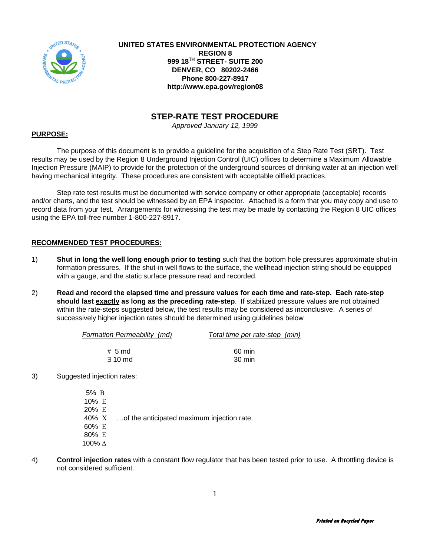

 **UNITED STATES ENVIRONMENTAL PROTECTION AGENCY REGION 8 999 18TH STREET- SUITE 200 DENVER, CO 80202-2466 Phone 800-227-8917 http://www.epa.gov/region08**

### **STEP-RATE TEST PROCEDURE**

*Approved January 12, 1999*

#### **PURPOSE:**

The purpose of this document is to provide a guideline for the acquisition of a Step Rate Test (SRT). Test results may be used by the Region 8 Underground Injection Control (UIC) offices to determine a Maximum Allowable Injection Pressure (MAIP) to provide for the protection of the underground sources of drinking water at an injection well having mechanical integrity. These procedures are consistent with acceptable oilfield practices.

Step rate test results must be documented with service company or other appropriate (acceptable) records and/or charts, and the test should be witnessed by an EPA inspector. Attached is a form that you may copy and use to record data from your test. Arrangements for witnessing the test may be made by contacting the Region 8 UIC offices using the EPA toll-free number 1-800-227-8917.

#### **RECOMMENDED TEST PROCEDURES:**

- 1) **Shut in long the well long enough prior to testing** such that the bottom hole pressures approximate shut-in formation pressures. If the shut-in well flows to the surface, the wellhead injection string should be equipped with a gauge, and the static surface pressure read and recorded.
- 2) **Read and record the elapsed time and pressure values for each time and rate-step. Each rate-step should last exactly as long as the preceding rate-step**. If stabilized pressure values are not obtained within the rate-steps suggested below, the test results may be considered as inconclusive. A series of successively higher injection rates should be determined using guidelines below

| Formation Permeability (md) | Total time per rate-step (min) |  |  |  |  |
|-----------------------------|--------------------------------|--|--|--|--|
|                             |                                |  |  |  |  |
| $# 5$ md                    | 60 min                         |  |  |  |  |
| $\exists$ 10 md             | 30 min                         |  |  |  |  |

3) Suggested injection rates:

| 5% B    |                                            |
|---------|--------------------------------------------|
| 10% $E$ |                                            |
| 20% E   |                                            |
| 40% X   | of the anticipated maximum injection rate. |
| 60% E   |                                            |
| 80% E   |                                            |
| 100% ∆  |                                            |

4) **Control injection rates** with a constant flow regulator that has been tested prior to use. A throttling device is not considered sufficient.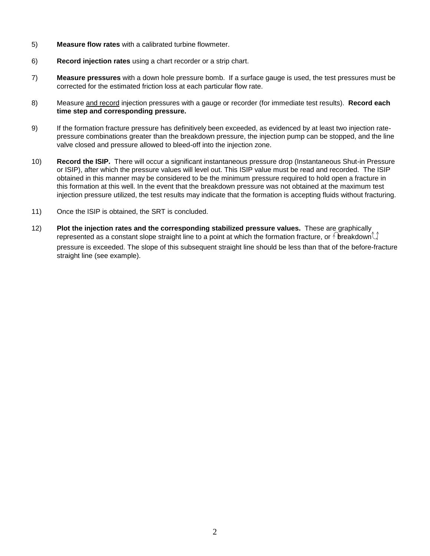- 5) **Measure flow rates** with a calibrated turbine flowmeter.
- 6) **Record injection rates** using a chart recorder or a strip chart.
- 7) **Measure pressures** with a down hole pressure bomb. If a surface gauge is used, the test pressures must be corrected for the estimated friction loss at each particular flow rate.
- 8) Measure and record injection pressures with a gauge or recorder (for immediate test results). **Record each time step and corresponding pressure.**
- 9) If the formation fracture pressure has definitively been exceeded, as evidenced by at least two injection ratepressure combinations greater than the breakdown pressure, the injection pump can be stopped, and the line valve closed and pressure allowed to bleed-off into the injection zone.
- 10) **Record the ISIP.** There will occur a significant instantaneous pressure drop (Instantaneous Shut-in Pressure or ISIP), after which the pressure values will level out. This ISIP value must be read and recorded. The ISIP obtained in this manner may be considered to be the minimum pressure required to hold open a fracture in this formation at this well. In the event that the breakdown pressure was not obtained at the maximum test injection pressure utilized, the test results may indicate that the formation is accepting fluids without fracturing.
- 11) Once the ISIP is obtained, the SRT is concluded.
- 12) **Plot the injection rates and the corresponding stabilized pressure values.** These are graphically represented as a constant slope straight line to a point at which the formation fracture, or  $\bigwedge$  breakdown $\bigcup$ pressure is exceeded. The slope of this subsequent straight line should be less than that of the before-fracture straight line (see example).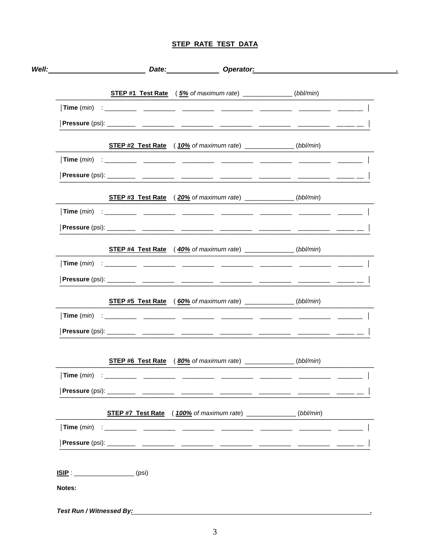## **STEP RATE TEST DATA**

|                     | <b>STEP #1 Test Rate</b> (5% of maximum rate) ______________(bbl/min)                 |  |
|---------------------|---------------------------------------------------------------------------------------|--|
|                     |                                                                                       |  |
|                     |                                                                                       |  |
|                     | <b>STEP #2 Test Rate</b> $(10\% \text{ of maximum rate})$ __________________(bbl/min) |  |
|                     |                                                                                       |  |
|                     |                                                                                       |  |
|                     | <b>STEP #3 Test Rate</b> (20% of maximum rate) _____________(bbl/min)                 |  |
|                     |                                                                                       |  |
|                     |                                                                                       |  |
|                     | <b>STEP #4 Test Rate</b> (40% of maximum rate) ____________(bbl/min)                  |  |
|                     |                                                                                       |  |
|                     |                                                                                       |  |
|                     | <b>STEP #5 Test Rate</b> (60% of maximum rate) _____________(bbl/min)                 |  |
|                     |                                                                                       |  |
|                     |                                                                                       |  |
|                     | STEP #6 Test Rate (80% of maximum rate) ____________(bbl/min)                         |  |
| Time ( <i>min</i> ) |                                                                                       |  |
|                     |                                                                                       |  |
|                     | <b>STEP #7 Test Rate</b> (100% of maximum rate) ______________(bbl/min)               |  |
|                     |                                                                                       |  |
|                     |                                                                                       |  |
| $ISIP:$ (psi)       |                                                                                       |  |
| Notes:              |                                                                                       |  |
|                     |                                                                                       |  |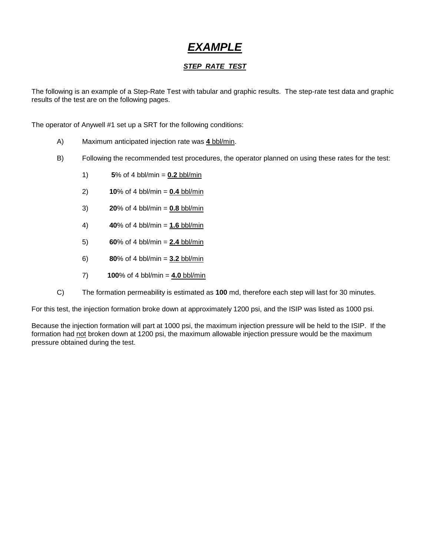# *EXAMPLE*

### *STEP RATE TEST*

The following is an example of a Step-Rate Test with tabular and graphic results. The step-rate test data and graphic results of the test are on the following pages.

The operator of Anywell #1 set up a SRT for the following conditions:

- A) Maximum anticipated injection rate was **4** bbl/min.
- B) Following the recommended test procedures, the operator planned on using these rates for the test:
	- 1) **5**% of 4 bbl/min = **0.2** bbl/min
	- 2) **10**% of 4 bbl/min = **0.4** bbl/min
	- 3) **20**% of 4 bbl/min = **0.8** bbl/min
	- 4) **40**% of 4 bbl/min = **1.6** bbl/min
	- 5) **60**% of 4 bbl/min = **2.4** bbl/min
	- 6) **80**% of 4 bbl/min = **3.2** bbl/min
	- 7) **100**% of 4 bbl/min = **4.0** bbl/min
- C) The formation permeability is estimated as **100** md, therefore each step will last for 30 minutes.

For this test, the injection formation broke down at approximately 1200 psi, and the ISIP was listed as 1000 psi.

Because the injection formation will part at 1000 psi, the maximum injection pressure will be held to the ISIP. If the formation had not broken down at 1200 psi, the maximum allowable injection pressure would be the maximum pressure obtained during the test.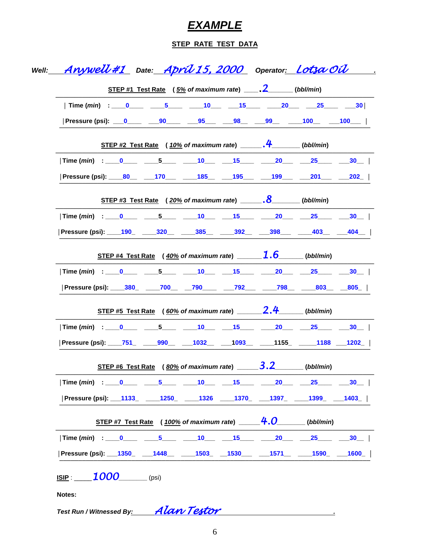# **EXAMPLE**

## **STEP RATE TEST DATA**

| Well: <u>____AnyWeU#1_</u> __Date:___ <u>AprÚ 15, 2000_</u> __Operator <u>:__Lot3a OU</u> ___        |  |  |                                                                                                |                                                                 |  |
|------------------------------------------------------------------------------------------------------|--|--|------------------------------------------------------------------------------------------------|-----------------------------------------------------------------|--|
|                                                                                                      |  |  | <u>STEP #1 Test Rate</u> ( $5\%$ of maximum rate) ________________(bbl/min)                    |                                                                 |  |
| Time ( <i>min</i> ) = ____0 ________5 ______10 _____15 _________20 ______25 ________30               |  |  |                                                                                                |                                                                 |  |
| Pressure (psi): __0_____ ___90____ ___95___ ___98__ ___99__ ____100__ ___100___                      |  |  |                                                                                                |                                                                 |  |
|                                                                                                      |  |  | STEP #2 Test Rate (10% of maximum rate) ________________(bbl/min)                              |                                                                 |  |
| $\lvert$ Time ( <i>min</i> ) : ____0_____ ____5____ ____10___ ___15____ ____20___ ___25____ ___30__  |  |  |                                                                                                |                                                                 |  |
| Pressure (psi): ____80__ ____170___ ____185__ ____195___ ____199___ ____201___ ____202_              |  |  |                                                                                                |                                                                 |  |
|                                                                                                      |  |  | STEP #3 Test Rate ( $20\%$ of maximum rate) _______. $8$ ________(bbl/min)                     |                                                                 |  |
|                                                                                                      |  |  |                                                                                                |                                                                 |  |
| Pressure (psi): 190 320 385 385 392 398 403 404                                                      |  |  |                                                                                                |                                                                 |  |
|                                                                                                      |  |  | <u>STEP #4 Test Rate</u> ( $\frac{40\%}{2}$ of maximum rate) _______ <b>1.6</b> _____(bbl/min) |                                                                 |  |
| $\lvert$ Time ( <i>min</i> ) : ____0_____ ____5____ ____10____ ___15____ ____20___ ___25____ ___30__ |  |  |                                                                                                |                                                                 |  |
| Pressure (psi): ____380_ _____700_______790__________792_________798_______803_____805__             |  |  |                                                                                                |                                                                 |  |
|                                                                                                      |  |  | <u>STEP #5 Test Rate</u> (60% of maximum rate) 2.4 (bbl/min)                                   |                                                                 |  |
| $\lvert$ Time ( <i>min</i> ) : ____0_____ ____5____ ____10___ ___15____ ____20___ ___25____ ___30__  |  |  |                                                                                                |                                                                 |  |
| Pressure (psi): _____751_ ______990___ ____1032___ ____1093___ _____1155_ ______1188 ____1202_       |  |  |                                                                                                |                                                                 |  |
|                                                                                                      |  |  | STEP #6 Test Rate ( $80\%$ of maximum rate) ________________________(bbl/min)                  |                                                                 |  |
|                                                                                                      |  |  |                                                                                                |                                                                 |  |
| Pressure (psi): __1133_ ____1250_ ____1326 ____1370_ ___1397_ ____1399_ ___1403_                     |  |  |                                                                                                |                                                                 |  |
|                                                                                                      |  |  |                                                                                                | <u>STEP #7 Test Rate</u> (100% of maximum rate) $4.0$ (bbl/min) |  |
|                                                                                                      |  |  |                                                                                                |                                                                 |  |
| Pressure (psi): ___1350_  ___1448__ _____1503_  __1530___ ____1571__ _____1590_ ___1600_             |  |  |                                                                                                |                                                                 |  |
| <u>ISIP</u> : $1000$ (psi)                                                                           |  |  |                                                                                                |                                                                 |  |
| Notes:                                                                                               |  |  |                                                                                                |                                                                 |  |